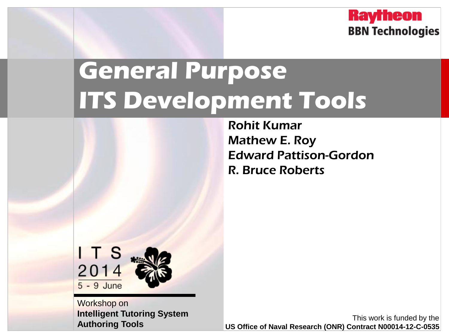**Raytheon BBN Technologies** 

## **General Purpose ITS Development Tools**

Rohit Kumar Mathew E. Roy Edward Pattison-Gordon R. Bruce Roberts



Workshop on **Intelligent Tutoring System Authoring Tools**

This work is funded by the **US Office of Naval Research (ONR) Contract N00014-12-C-0535**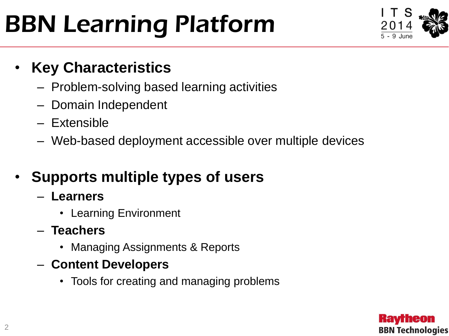# BBN Learning Platform



### • **Key Characteristics**

- Problem-solving based learning activities
- Domain Independent
- Extensible
- Web-based deployment accessible over multiple devices

## • **Supports multiple types of users**

- **Learners**
	- Learning Environment
- **Teachers**
	- Managing Assignments & Reports
- **Content Developers**
	- Tools for creating and managing problems

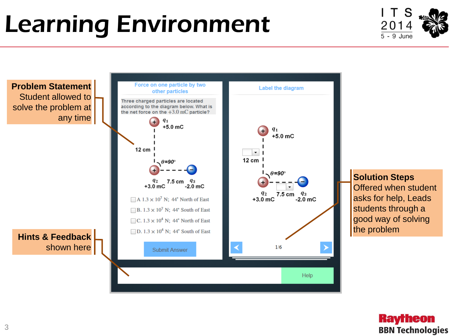# Learning Environment





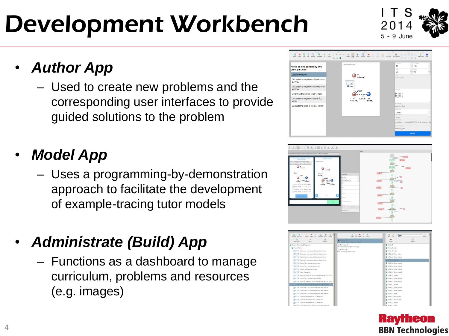# Development Workbench

- *Author App*
	- Used to create new problems and the corresponding user interfaces to provide guided solutions to the problem

## • *Model App*

– Uses a programming-by-demonstration approach to facilitate the development of example-tracing tutor models

## • *Administrate (Build) App*

– Functions as a dashboard to manage curriculum, problems and resources (e.g. images)





Kavrheon

**BBN Technologies** 



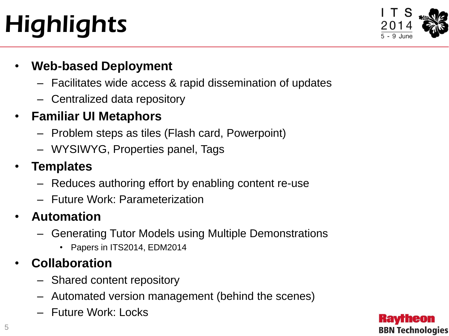# **Highlights**



#### • **Web-based Deployment**

- Facilitates wide access & rapid dissemination of updates
- Centralized data repository

### • **Familiar UI Metaphors**

- Problem steps as tiles (Flash card, Powerpoint)
- WYSIWYG, Properties panel, Tags

### • **Templates**

- Reduces authoring effort by enabling content re-use
- Future Work: Parameterization

### • **Automation**

- Generating Tutor Models using Multiple Demonstrations
	- Papers in ITS2014, EDM2014

### • **Collaboration**

- Shared content repository
- Automated version management (behind the scenes)
- Future Work: Locks